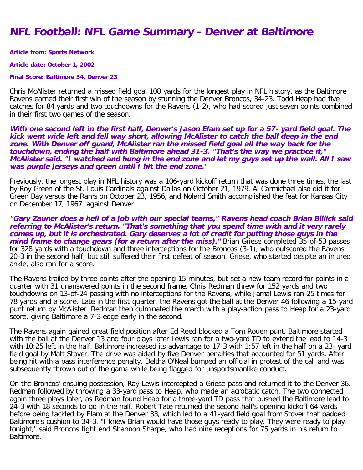## **NFL Football: NFL Game Summary - Denver at Baltimore**

**Article from: Sports Network**

**Article date: October 1, 2002**

**Final Score: Baltimore 34, Denver 23**

Chris McAlister returned a missed field goal 108 yards for the longest play in NFL history, as the Baltimore Ravens earned their first win of the season by stunning the Denver Broncos, 34-23. Todd Heap had five catches for 84 yards and two touchdowns for the Ravens (1-2), who had scored just seven points combined in their first two games of the season.

**With one second left in the first half, Denver's Jason Elam set up for a 57- yard field goal. The kick went wide left and fell way short, allowing McAlister to catch the ball deep in the end zone. With Denver off guard, McAlister ran the missed field goal all the way back for the touchdown, ending the half with Baltimore ahead 31-3. "That's the way we practice it," McAlister said. "I watched and hung in the end zone and let my guys set up the wall. All I saw was purple jerseys and green until I hit the end zone."**

Previously, the longest play in NFL history was a 106-yard kickoff return that was done three times, the last by Roy Green of the St. Louis Cardinals against Dallas on October 21, 1979. Al Carmichael also did it for Green Bay versus the Rams on October 23, 1956, and Noland Smith accomplished the feat for Kansas City on December 17, 1967, against Denver.

**"Gary Zauner does a hell of a job with our special teams," Ravens head coach Brian Billick said referring to McAlister's return. "That's something that you spend time with and it very rarely comes up, but it is orchestrated. Gary deserves a lot of credit for putting those guys in the mind frame to change gears (for a return after the miss)."** Brian Griese completed 35-of-53 passes for 328 yards with a touchdown and three interceptions for the Broncos (3-1), who outscored the Ravens 20-3 in the second half, but still suffered their first defeat of season. Griese, who started despite an injured ankle, also ran for a score.

The Ravens trailed by three points after the opening 15 minutes, but set a new team record for points in a quarter with 31 unanswered points in the second frame. Chris Redman threw for 152 yards and two touchdowns on 13-of-24 passing with no interceptions for the Ravens, while Jamal Lewis ran 25 times for 78 yards and a score. Late in the first quarter, the Ravens got the ball at the Denver 46 following a 15-yard punt return by McAlister. Redman then culminated the march with a play-action pass to Heap for a 23-yard score, giving Baltimore a 7-3 edge early in the second.

The Ravens again gained great field position after Ed Reed blocked a Tom Rouen punt. Baltimore started with the ball at the Denver 13 and four plays later Lewis ran for a two-yard TD to extend the lead to 14-3 with 10:25 left in the half. Baltimore increased its advantage to 17-3 with 1:57 left in the half on a 23- yard field goal by Matt Stover. The drive was aided by five Denver penalties that accounted for 51 yards. After being hit with a pass interference penalty, Deltha O'Neal bumped an official in protest of the call and was subsequently thrown out of the game while being flagged for unsportsmanlike conduct.

On the Broncos' ensuing possession, Ray Lewis intercepted a Griese pass and returned it to the Denver 36. Redman followed by throwing a 33-yard pass to Heap, who made an acrobatic catch. The two connected again three plays later, as Redman found Heap for a three-yard TD pass that pushed the Baltimore lead to 24-3 with 18 seconds to go in the half. Robert Tate returned the second half's opening kickoff 64 yards before being tackled by Elam at the Denver 33, which led to a 41-yard field goal from Stover that padded Baltimore's cushion to 34-3. "I knew Brian would have those guys ready to play. They were ready to play tonight," said Broncos tight end Shannon Sharpe, who had nine receptions for 75 yards in his return to Baltimore.